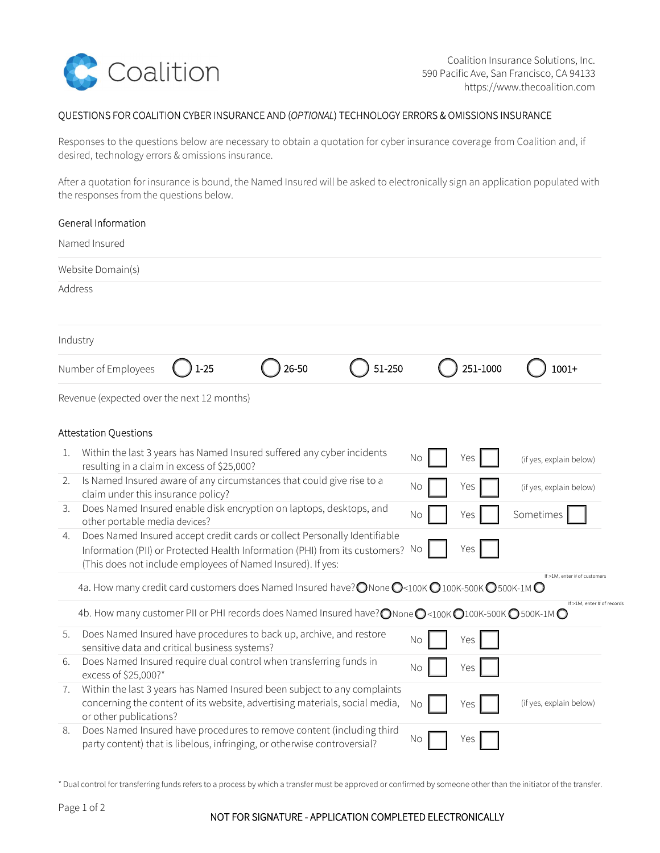

Coalition Insurance Solutions, Inc. 590 Pacific Ave, San Francisco, CA 94133 https://www.thecoalition.com

## QUESTIONS FOR COALITION CYBER INSURANCE AND (OPTIONAL) TECHNOLOGY ERRORS & OMISSIONS INSURANCE

Responses to the questions below are necessary to obtain a quotation for cyber insurance coverage from Coalition and, if desired, technology errors & omissions insurance.

After a quotation for insurance is bound, the Named Insured will be asked to electronically sign an application populated with the responses from the questions below.

|         | General Information                                                                                                                                                                                                        |           |          |                              |
|---------|----------------------------------------------------------------------------------------------------------------------------------------------------------------------------------------------------------------------------|-----------|----------|------------------------------|
|         | Named Insured                                                                                                                                                                                                              |           |          |                              |
|         | Website Domain(s)                                                                                                                                                                                                          |           |          |                              |
| Address |                                                                                                                                                                                                                            |           |          |                              |
|         | Industry                                                                                                                                                                                                                   |           |          |                              |
|         | $26 - 50$<br>51-250<br>$1 - 25$<br>Number of Employees                                                                                                                                                                     |           | 251-1000 | $1001+$                      |
|         | Revenue (expected over the next 12 months)                                                                                                                                                                                 |           |          |                              |
|         | <b>Attestation Questions</b>                                                                                                                                                                                               |           |          |                              |
| 1.      | Within the last 3 years has Named Insured suffered any cyber incidents<br>resulting in a claim in excess of \$25,000?                                                                                                      | No        | Yes      | (if yes, explain below)      |
| 2.      | Is Named Insured aware of any circumstances that could give rise to a<br>claim under this insurance policy?                                                                                                                | No        | Yes      | (if yes, explain below)      |
| 3.      | Does Named Insured enable disk encryption on laptops, desktops, and<br>other portable media devices?                                                                                                                       | <b>No</b> | Yes      | Sometimes                    |
| 4.      | Does Named Insured accept credit cards or collect Personally Identifiable<br>Information (PII) or Protected Health Information (PHI) from its customers? No<br>(This does not include employees of Named Insured). If yes: |           | Yes      |                              |
|         | 4a. How many credit card customers does Named Insured have? ONone O<100K O100K-500K O500K-1MO                                                                                                                              |           |          | If >1M, enter # of customers |
|         | 4b. How many customer PII or PHI records does Named Insured have? ONone O<100K O100K-500K O500K-1M O                                                                                                                       |           |          | If >1M, enter # of records   |
| 5.      | Does Named Insured have procedures to back up, archive, and restore<br>sensitive data and critical business systems?                                                                                                       | No        | Yes      |                              |
| 6.      | Does Named Insured require dual control when transferring funds in<br>excess of \$25,000?*                                                                                                                                 | No        | Yes      |                              |
| 7.      | Within the last 3 years has Named Insured been subject to any complaints<br>concerning the content of its website, advertising materials, social media,<br>or other publications?                                          | No        | Yes      | (if yes, explain below)      |
| 8.      | Does Named Insured have procedures to remove content (including third<br>party content) that is libelous, infringing, or otherwise controversial?                                                                          | No        | Yes      |                              |

\* Dual control for transferring funds refers to a process by which a transfer must be approved or confirmed by someone other than the initiator of the transfer.